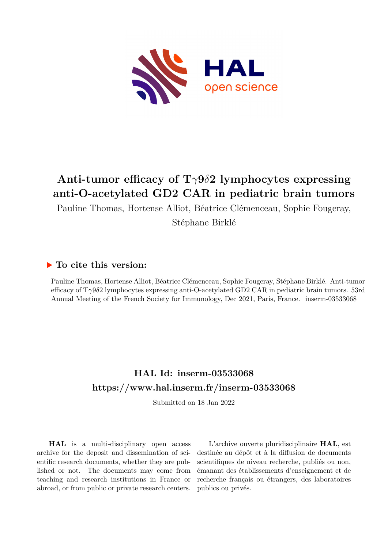

## **Anti-tumor efficacy of T***γ***9***δ***2 lymphocytes expressing anti-O-acetylated GD2 CAR in pediatric brain tumors**

Pauline Thomas, Hortense Alliot, Béatrice Clémenceau, Sophie Fougeray,

Stéphane Birklé

## **To cite this version:**

Pauline Thomas, Hortense Alliot, Béatrice Clémenceau, Sophie Fougeray, Stéphane Birklé. Anti-tumor efficacy of T*γ*9*δ*2 lymphocytes expressing anti-O-acetylated GD2 CAR in pediatric brain tumors. 53rd Annual Meeting of the French Society for Immunology, Dec 2021, Paris, France. inserm-03533068

## **HAL Id: inserm-03533068 <https://www.hal.inserm.fr/inserm-03533068>**

Submitted on 18 Jan 2022

**HAL** is a multi-disciplinary open access archive for the deposit and dissemination of scientific research documents, whether they are published or not. The documents may come from teaching and research institutions in France or abroad, or from public or private research centers.

L'archive ouverte pluridisciplinaire **HAL**, est destinée au dépôt et à la diffusion de documents scientifiques de niveau recherche, publiés ou non, émanant des établissements d'enseignement et de recherche français ou étrangers, des laboratoires publics ou privés.